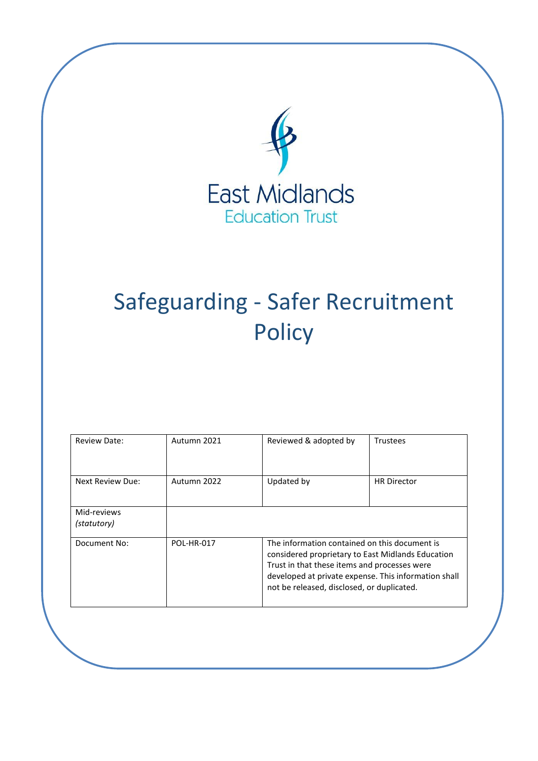

# Safeguarding - Safer Recruitment **Policy**

| Review Date:               | Autumn 2021 | Reviewed & adopted by                                                                                                                                                                                                                                    | Trustees           |
|----------------------------|-------------|----------------------------------------------------------------------------------------------------------------------------------------------------------------------------------------------------------------------------------------------------------|--------------------|
| Next Review Due:           | Autumn 2022 | Updated by                                                                                                                                                                                                                                               | <b>HR Director</b> |
| Mid-reviews<br>(statutory) |             |                                                                                                                                                                                                                                                          |                    |
| Document No:               | POL-HR-017  | The information contained on this document is<br>considered proprietary to East Midlands Education<br>Trust in that these items and processes were<br>developed at private expense. This information shall<br>not be released, disclosed, or duplicated. |                    |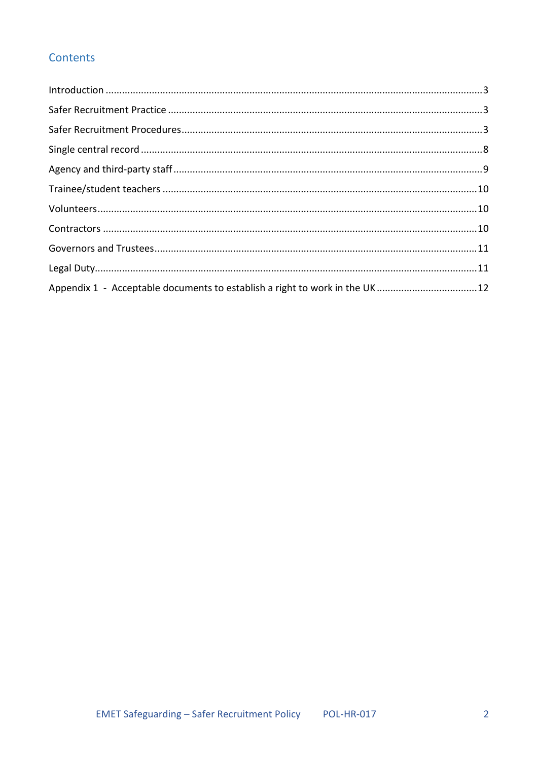# Contents

| Appendix 1 - Acceptable documents to establish a right to work in the UK 12 |  |
|-----------------------------------------------------------------------------|--|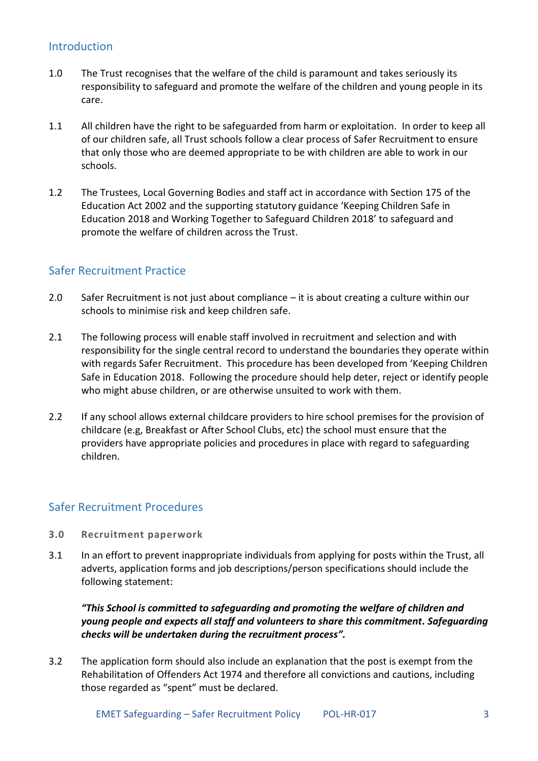## <span id="page-2-0"></span>**Introduction**

- 1.0 The Trust recognises that the welfare of the child is paramount and takes seriously its responsibility to safeguard and promote the welfare of the children and young people in its care.
- 1.1 All children have the right to be safeguarded from harm or exploitation. In order to keep all of our children safe, all Trust schools follow a clear process of Safer Recruitment to ensure that only those who are deemed appropriate to be with children are able to work in our schools.
- 1.2 The Trustees, Local Governing Bodies and staff act in accordance with Section 175 of the Education Act 2002 and the supporting statutory guidance 'Keeping Children Safe in Education 2018 and Working Together to Safeguard Children 2018' to safeguard and promote the welfare of children across the Trust.

## <span id="page-2-1"></span>Safer Recruitment Practice

- 2.0 Safer Recruitment is not just about compliance it is about creating a culture within our schools to minimise risk and keep children safe.
- 2.1 The following process will enable staff involved in recruitment and selection and with responsibility for the single central record to understand the boundaries they operate within with regards Safer Recruitment. This procedure has been developed from 'Keeping Children Safe in Education 2018. Following the procedure should help deter, reject or identify people who might abuse children, or are otherwise unsuited to work with them.
- 2.2 If any school allows external childcare providers to hire school premises for the provision of childcare (e.g, Breakfast or After School Clubs, etc) the school must ensure that the providers have appropriate policies and procedures in place with regard to safeguarding children.

## <span id="page-2-2"></span>Safer Recruitment Procedures

- **3.0 Recruitment paperwork**
- 3.1 In an effort to prevent inappropriate individuals from applying for posts within the Trust, all adverts, application forms and job descriptions/person specifications should include the following statement:

*"This School is committed to safeguarding and promoting the welfare of children and young people and expects all staff and volunteers to share this commitment. Safeguarding checks will be undertaken during the recruitment process".* 

3.2 The application form should also include an explanation that the post is exempt from the Rehabilitation of Offenders Act 1974 and therefore all convictions and cautions, including those regarded as "spent" must be declared.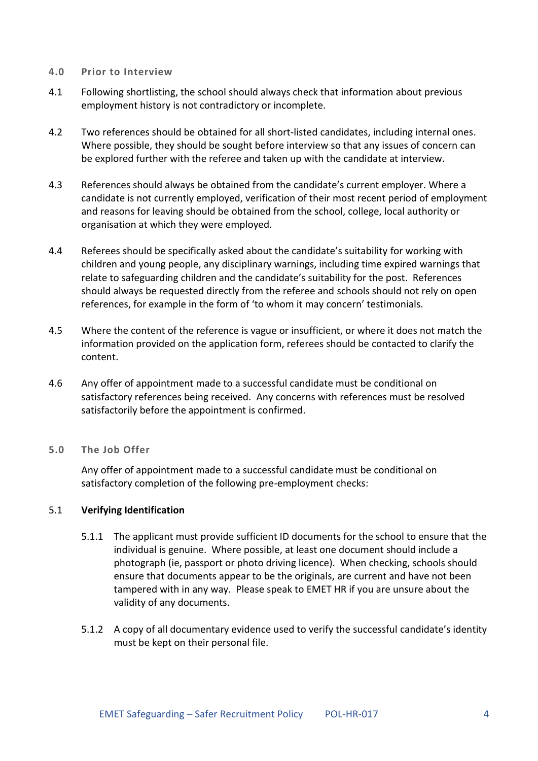#### **4.0 Prior to Interview**

- 4.1 Following shortlisting, the school should always check that information about previous employment history is not contradictory or incomplete.
- 4.2 Two references should be obtained for all short-listed candidates, including internal ones. Where possible, they should be sought before interview so that any issues of concern can be explored further with the referee and taken up with the candidate at interview.
- 4.3 References should always be obtained from the candidate's current employer. Where a candidate is not currently employed, verification of their most recent period of employment and reasons for leaving should be obtained from the school, college, local authority or organisation at which they were employed.
- 4.4 Referees should be specifically asked about the candidate's suitability for working with children and young people, any disciplinary warnings, including time expired warnings that relate to safeguarding children and the candidate's suitability for the post. References should always be requested directly from the referee and schools should not rely on open references, for example in the form of 'to whom it may concern' testimonials.
- 4.5 Where the content of the reference is vague or insufficient, or where it does not match the information provided on the application form, referees should be contacted to clarify the content.
- 4.6 Any offer of appointment made to a successful candidate must be conditional on satisfactory references being received. Any concerns with references must be resolved satisfactorily before the appointment is confirmed.

#### **5.0 The Job Offer**

Any offer of appointment made to a successful candidate must be conditional on satisfactory completion of the following pre-employment checks:

#### 5.1 **Verifying Identification**

- 5.1.1 The applicant must provide sufficient ID documents for the school to ensure that the individual is genuine. Where possible, at least one document should include a photograph (ie, passport or photo driving licence). When checking, schools should ensure that documents appear to be the originals, are current and have not been tampered with in any way. Please speak to EMET HR if you are unsure about the validity of any documents.
- 5.1.2 A copy of all documentary evidence used to verify the successful candidate's identity must be kept on their personal file.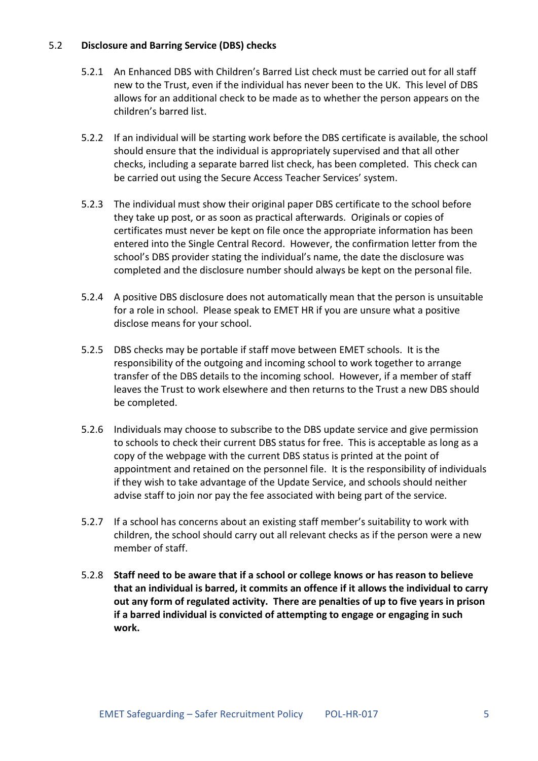#### 5.2 **Disclosure and Barring Service (DBS) checks**

- 5.2.1 An Enhanced DBS with Children's Barred List check must be carried out for all staff new to the Trust, even if the individual has never been to the UK. This level of DBS allows for an additional check to be made as to whether the person appears on the children's barred list.
- 5.2.2 If an individual will be starting work before the DBS certificate is available, the school should ensure that the individual is appropriately supervised and that all other checks, including a separate barred list check, has been completed. This check can be carried out using the Secure Access Teacher Services' system.
- 5.2.3 The individual must show their original paper DBS certificate to the school before they take up post, or as soon as practical afterwards. Originals or copies of certificates must never be kept on file once the appropriate information has been entered into the Single Central Record. However, the confirmation letter from the school's DBS provider stating the individual's name, the date the disclosure was completed and the disclosure number should always be kept on the personal file.
- 5.2.4 A positive DBS disclosure does not automatically mean that the person is unsuitable for a role in school. Please speak to EMET HR if you are unsure what a positive disclose means for your school.
- 5.2.5 DBS checks may be portable if staff move between EMET schools. It is the responsibility of the outgoing and incoming school to work together to arrange transfer of the DBS details to the incoming school. However, if a member of staff leaves the Trust to work elsewhere and then returns to the Trust a new DBS should be completed.
- 5.2.6 Individuals may choose to subscribe to the DBS update service and give permission to schools to check their current DBS status for free. This is acceptable as long as a copy of the webpage with the current DBS status is printed at the point of appointment and retained on the personnel file. It is the responsibility of individuals if they wish to take advantage of the Update Service, and schools should neither advise staff to join nor pay the fee associated with being part of the service.
- 5.2.7 If a school has concerns about an existing staff member's suitability to work with children, the school should carry out all relevant checks as if the person were a new member of staff.
- 5.2.8 **Staff need to be aware that if a school or college knows or has reason to believe that an individual is barred, it commits an offence if it allows the individual to carry out any form of regulated activity. There are penalties of up to five years in prison if a barred individual is convicted of attempting to engage or engaging in such work.**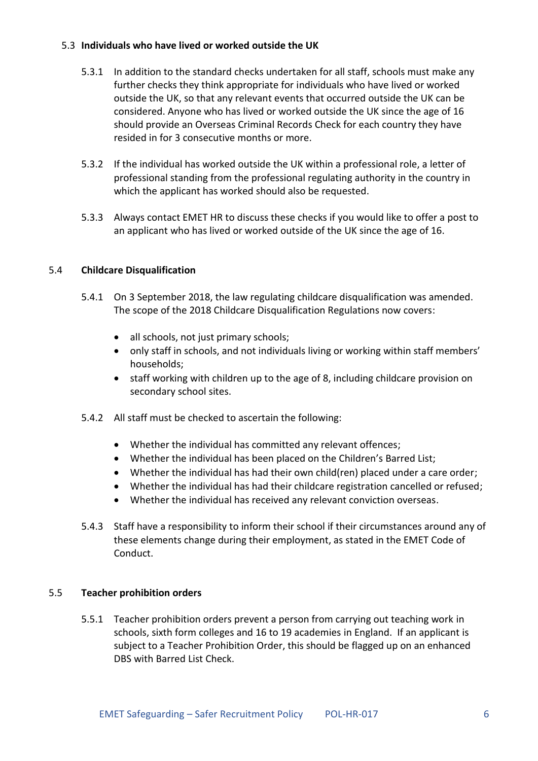#### 5.3 **Individuals who have lived or worked outside the UK**

- 5.3.1 In addition to the standard checks undertaken for all staff, schools must make any further checks they think appropriate for individuals who have lived or worked outside the UK, so that any relevant events that occurred outside the UK can be considered. Anyone who has lived or worked outside the UK since the age of 16 should provide an Overseas Criminal Records Check for each country they have resided in for 3 consecutive months or more.
- 5.3.2 If the individual has worked outside the UK within a professional role, a letter of professional standing from the professional regulating authority in the country in which the applicant has worked should also be requested.
- 5.3.3 Always contact EMET HR to discuss these checks if you would like to offer a post to an applicant who has lived or worked outside of the UK since the age of 16.

#### 5.4 **Childcare Disqualification**

- 5.4.1 On 3 September 2018, the law regulating childcare disqualification was amended. The scope of the 2018 Childcare Disqualification Regulations now covers:
	- all schools, not just primary schools;
	- only staff in schools, and not individuals living or working within staff members' households;
	- staff working with children up to the age of 8, including childcare provision on secondary school sites.
- 5.4.2 All staff must be checked to ascertain the following:
	- Whether the individual has committed any relevant offences;
	- Whether the individual has been placed on the Children's Barred List;
	- Whether the individual has had their own child(ren) placed under a care order;
	- Whether the individual has had their childcare registration cancelled or refused;
	- Whether the individual has received any relevant conviction overseas.
- 5.4.3 Staff have a responsibility to inform their school if their circumstances around any of these elements change during their employment, as stated in the EMET Code of Conduct.

#### 5.5 **Teacher prohibition orders**

5.5.1 Teacher prohibition orders prevent a person from carrying out teaching work in schools, sixth form colleges and 16 to 19 academies in England. If an applicant is subject to a Teacher Prohibition Order, this should be flagged up on an enhanced DBS with Barred List Check.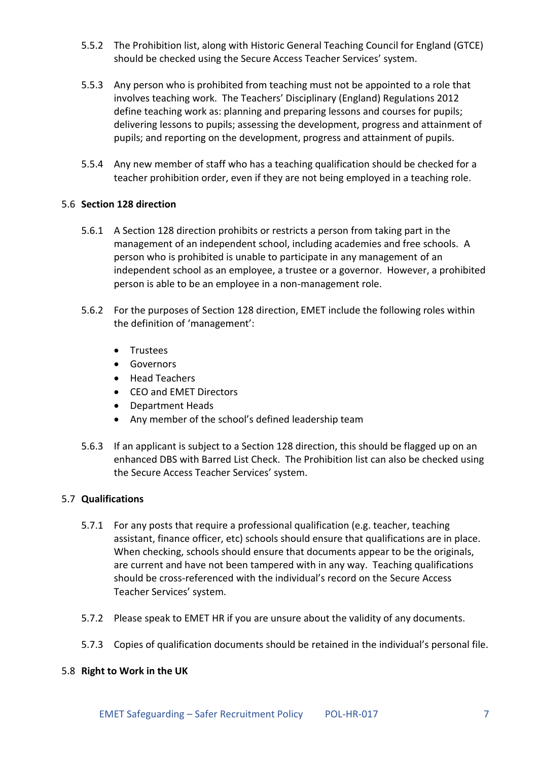- 5.5.2 The Prohibition list, along with Historic General Teaching Council for England (GTCE) should be checked using the Secure Access Teacher Services' system.
- 5.5.3 Any person who is prohibited from teaching must not be appointed to a role that involves teaching work. The Teachers' Disciplinary (England) Regulations 2012 define teaching work as: planning and preparing lessons and courses for pupils; delivering lessons to pupils; assessing the development, progress and attainment of pupils; and reporting on the development, progress and attainment of pupils.
- 5.5.4 Any new member of staff who has a teaching qualification should be checked for a teacher prohibition order, even if they are not being employed in a teaching role.

#### 5.6 **Section 128 direction**

- 5.6.1 A Section 128 direction prohibits or restricts a person from taking part in the management of an independent school, including academies and free schools. A person who is prohibited is unable to participate in any management of an independent school as an employee, a trustee or a governor. However, a prohibited person is able to be an employee in a non-management role.
- 5.6.2 For the purposes of Section 128 direction, EMET include the following roles within the definition of 'management':
	- **•** Trustees
	- **•** Governors
	- Head Teachers
	- CEO and EMET Directors
	- Department Heads
	- Any member of the school's defined leadership team
- 5.6.3 If an applicant is subject to a Section 128 direction, this should be flagged up on an enhanced DBS with Barred List Check. The Prohibition list can also be checked using the Secure Access Teacher Services' system.

#### 5.7 **Qualifications**

- 5.7.1 For any posts that require a professional qualification (e.g. teacher, teaching assistant, finance officer, etc) schools should ensure that qualifications are in place. When checking, schools should ensure that documents appear to be the originals, are current and have not been tampered with in any way. Teaching qualifications should be cross-referenced with the individual's record on the Secure Access Teacher Services' system.
- 5.7.2 Please speak to EMET HR if you are unsure about the validity of any documents.
- 5.7.3 Copies of qualification documents should be retained in the individual's personal file.

#### 5.8 **Right to Work in the UK**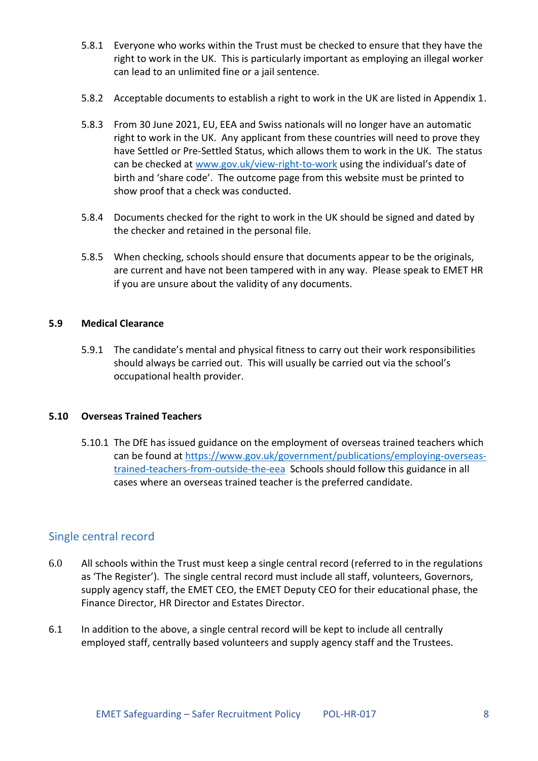- 5.8.1 Everyone who works within the Trust must be checked to ensure that they have the right to work in the UK. This is particularly important as employing an illegal worker can lead to an unlimited fine or a jail sentence.
- 5.8.2 Acceptable documents to establish a right to work in the UK are listed in Appendix 1.
- 5.8.3 From 30 June 2021, EU, EEA and Swiss nationals will no longer have an automatic right to work in the UK. Any applicant from these countries will need to prove they have Settled or Pre-Settled Status, which allows them to work in the UK. The status can be checked at [www.gov.uk/view-right-to-work](http://www.gov.uk/view-right-to-work) using the individual's date of birth and 'share code'. The outcome page from this website must be printed to show proof that a check was conducted.
- 5.8.4 Documents checked for the right to work in the UK should be signed and dated by the checker and retained in the personal file.
- 5.8.5 When checking, schools should ensure that documents appear to be the originals, are current and have not been tampered with in any way. Please speak to EMET HR if you are unsure about the validity of any documents.

#### **5.9 Medical Clearance**

5.9.1 The candidate's mental and physical fitness to carry out their work responsibilities should always be carried out. This will usually be carried out via the school's occupational health provider.

#### **5.10 Overseas Trained Teachers**

5.10.1 The DfE has issued guidance on the employment of overseas trained teachers which can be found at [https://www.gov.uk/government/publications/employing-overseas](https://www.gov.uk/government/publications/employing-overseas-trained-teachers-from-outside-the-eea)[trained-teachers-from-outside-the-eea](https://www.gov.uk/government/publications/employing-overseas-trained-teachers-from-outside-the-eea) Schools should follow this guidance in all cases where an overseas trained teacher is the preferred candidate.

## <span id="page-7-0"></span>Single central record

- 6.0 All schools within the Trust must keep a single central record (referred to in the regulations as 'The Register'). The single central record must include all staff, volunteers, Governors, supply agency staff, the EMET CEO, the EMET Deputy CEO for their educational phase, the Finance Director, HR Director and Estates Director.
- 6.1 In addition to the above, a single central record will be kept to include all centrally employed staff, centrally based volunteers and supply agency staff and the Trustees.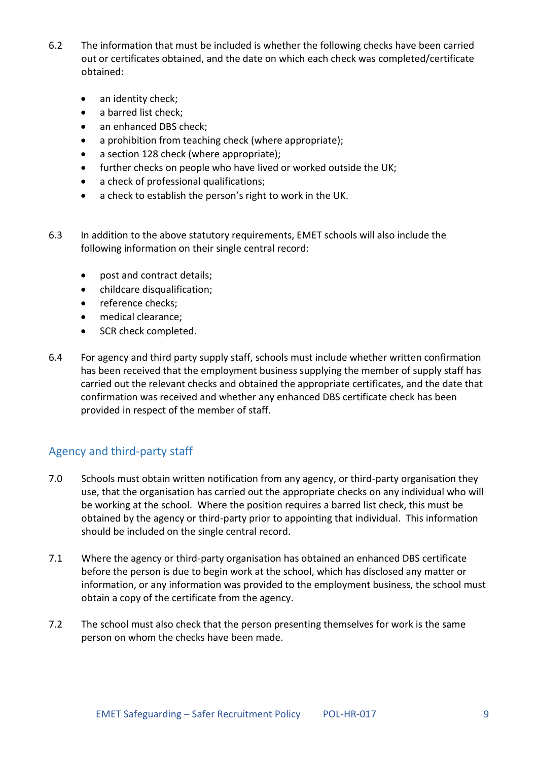- 6.2 The information that must be included is whether the following checks have been carried out or certificates obtained, and the date on which each check was completed/certificate obtained:
	- an identity check;
	- a barred list check;
	- an enhanced DBS check;
	- a prohibition from teaching check (where appropriate);
	- a section 128 check (where appropriate):
	- further checks on people who have lived or worked outside the UK;
	- a check of professional qualifications;
	- a check to establish the person's right to work in the UK.
- 6.3 In addition to the above statutory requirements, EMET schools will also include the following information on their single central record:
	- post and contract details;
	- childcare disqualification;
	- reference checks:
	- medical clearance;
	- SCR check completed.
- 6.4 For agency and third party supply staff, schools must include whether written confirmation has been received that the employment business supplying the member of supply staff has carried out the relevant checks and obtained the appropriate certificates, and the date that confirmation was received and whether any enhanced DBS certificate check has been provided in respect of the member of staff.

## <span id="page-8-0"></span>Agency and third-party staff

- 7.0 Schools must obtain written notification from any agency, or third-party organisation they use, that the organisation has carried out the appropriate checks on any individual who will be working at the school. Where the position requires a barred list check, this must be obtained by the agency or third-party prior to appointing that individual. This information should be included on the single central record.
- 7.1 Where the agency or third-party organisation has obtained an enhanced DBS certificate before the person is due to begin work at the school, which has disclosed any matter or information, or any information was provided to the employment business, the school must obtain a copy of the certificate from the agency.
- 7.2 The school must also check that the person presenting themselves for work is the same person on whom the checks have been made.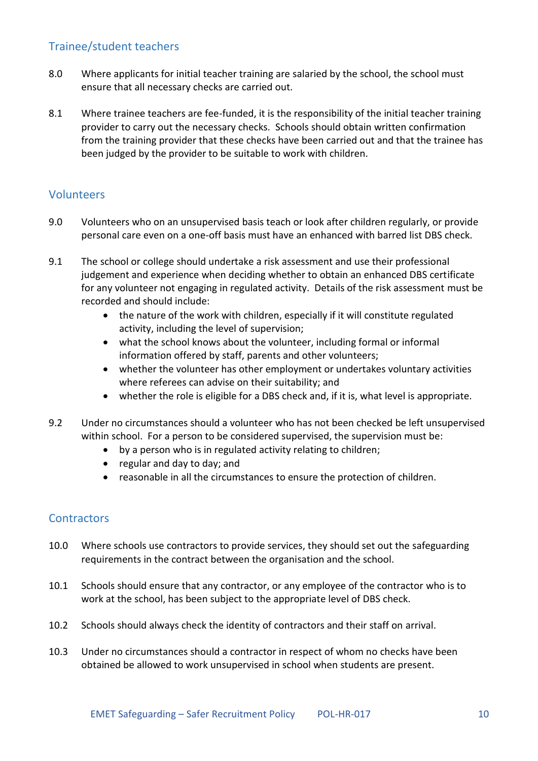## <span id="page-9-0"></span>Trainee/student teachers

- 8.0 Where applicants for initial teacher training are salaried by the school, the school must ensure that all necessary checks are carried out.
- 8.1 Where trainee teachers are fee-funded, it is the responsibility of the initial teacher training provider to carry out the necessary checks. Schools should obtain written confirmation from the training provider that these checks have been carried out and that the trainee has been judged by the provider to be suitable to work with children.

## <span id="page-9-1"></span>Volunteers

- 9.0 Volunteers who on an unsupervised basis teach or look after children regularly, or provide personal care even on a one-off basis must have an enhanced with barred list DBS check.
- 9.1 The school or college should undertake a risk assessment and use their professional judgement and experience when deciding whether to obtain an enhanced DBS certificate for any volunteer not engaging in regulated activity. Details of the risk assessment must be recorded and should include:
	- the nature of the work with children, especially if it will constitute regulated activity, including the level of supervision;
	- what the school knows about the volunteer, including formal or informal information offered by staff, parents and other volunteers;
	- whether the volunteer has other employment or undertakes voluntary activities where referees can advise on their suitability; and
	- whether the role is eligible for a DBS check and, if it is, what level is appropriate.
- 9.2 Under no circumstances should a volunteer who has not been checked be left unsupervised within school. For a person to be considered supervised, the supervision must be:
	- by a person who is in regulated activity relating to children;
	- regular and day to day; and
	- reasonable in all the circumstances to ensure the protection of children.

## <span id="page-9-2"></span>**Contractors**

- 10.0 Where schools use contractors to provide services, they should set out the safeguarding requirements in the contract between the organisation and the school.
- 10.1 Schools should ensure that any contractor, or any employee of the contractor who is to work at the school, has been subject to the appropriate level of DBS check.
- 10.2 Schools should always check the identity of contractors and their staff on arrival.
- 10.3 Under no circumstances should a contractor in respect of whom no checks have been obtained be allowed to work unsupervised in school when students are present.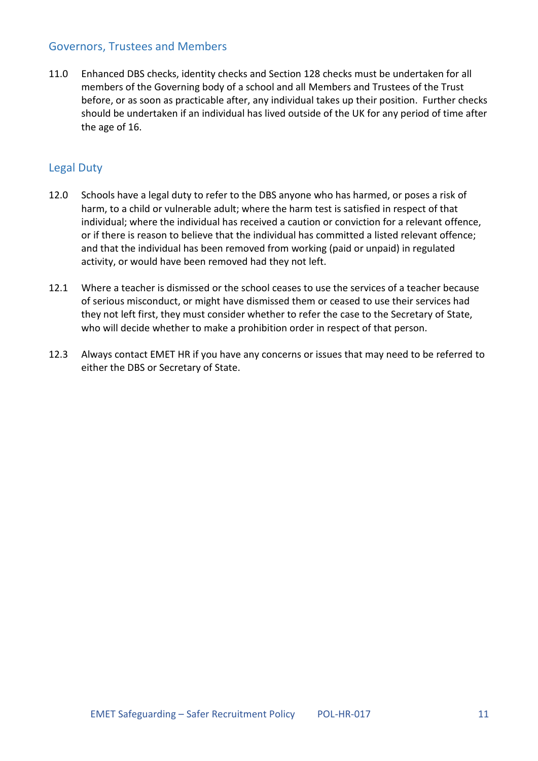## <span id="page-10-0"></span>Governors, Trustees and Members

11.0 Enhanced DBS checks, identity checks and Section 128 checks must be undertaken for all members of the Governing body of a school and all Members and Trustees of the Trust before, or as soon as practicable after, any individual takes up their position. Further checks should be undertaken if an individual has lived outside of the UK for any period of time after the age of 16.

## <span id="page-10-1"></span>Legal Duty

- 12.0 Schools have a legal duty to refer to the DBS anyone who has harmed, or poses a risk of harm, to a child or vulnerable adult; where the harm test is satisfied in respect of that individual; where the individual has received a caution or conviction for a relevant offence, or if there is reason to believe that the individual has committed a listed relevant offence; and that the individual has been removed from working (paid or unpaid) in regulated activity, or would have been removed had they not left.
- 12.1 Where a teacher is dismissed or the school ceases to use the services of a teacher because of serious misconduct, or might have dismissed them or ceased to use their services had they not left first, they must consider whether to refer the case to the Secretary of State, who will decide whether to make a prohibition order in respect of that person.
- 12.3 Always contact EMET HR if you have any concerns or issues that may need to be referred to either the DBS or Secretary of State.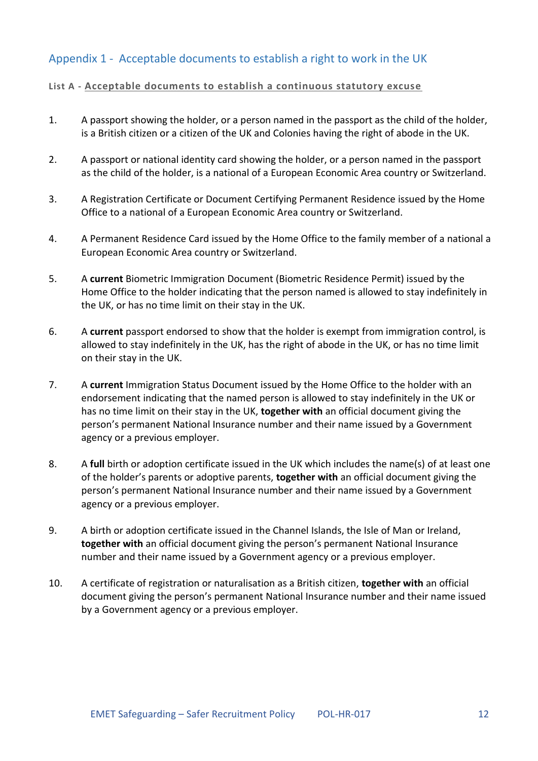# <span id="page-11-0"></span>Appendix 1 - Acceptable documents to establish a right to work in the UK

#### **List A - Acceptable documents to establish a continuous statutory excuse**

- 1. A passport showing the holder, or a person named in the passport as the child of the holder, is a British citizen or a citizen of the UK and Colonies having the right of abode in the UK.
- 2. A passport or national identity card showing the holder, or a person named in the passport as the child of the holder, is a national of a European Economic Area country or Switzerland.
- 3. A Registration Certificate or Document Certifying Permanent Residence issued by the Home Office to a national of a European Economic Area country or Switzerland.
- 4. A Permanent Residence Card issued by the Home Office to the family member of a national a European Economic Area country or Switzerland.
- 5. A **current** Biometric Immigration Document (Biometric Residence Permit) issued by the Home Office to the holder indicating that the person named is allowed to stay indefinitely in the UK, or has no time limit on their stay in the UK.
- 6. A **current** passport endorsed to show that the holder is exempt from immigration control, is allowed to stay indefinitely in the UK, has the right of abode in the UK, or has no time limit on their stay in the UK.
- 7. A **current** Immigration Status Document issued by the Home Office to the holder with an endorsement indicating that the named person is allowed to stay indefinitely in the UK or has no time limit on their stay in the UK, **together with** an official document giving the person's permanent National Insurance number and their name issued by a Government agency or a previous employer.
- 8. A **full** birth or adoption certificate issued in the UK which includes the name(s) of at least one of the holder's parents or adoptive parents, **together with** an official document giving the person's permanent National Insurance number and their name issued by a Government agency or a previous employer.
- 9. A birth or adoption certificate issued in the Channel Islands, the Isle of Man or Ireland, **together with** an official document giving the person's permanent National Insurance number and their name issued by a Government agency or a previous employer.
- 10. A certificate of registration or naturalisation as a British citizen, **together with** an official document giving the person's permanent National Insurance number and their name issued by a Government agency or a previous employer.